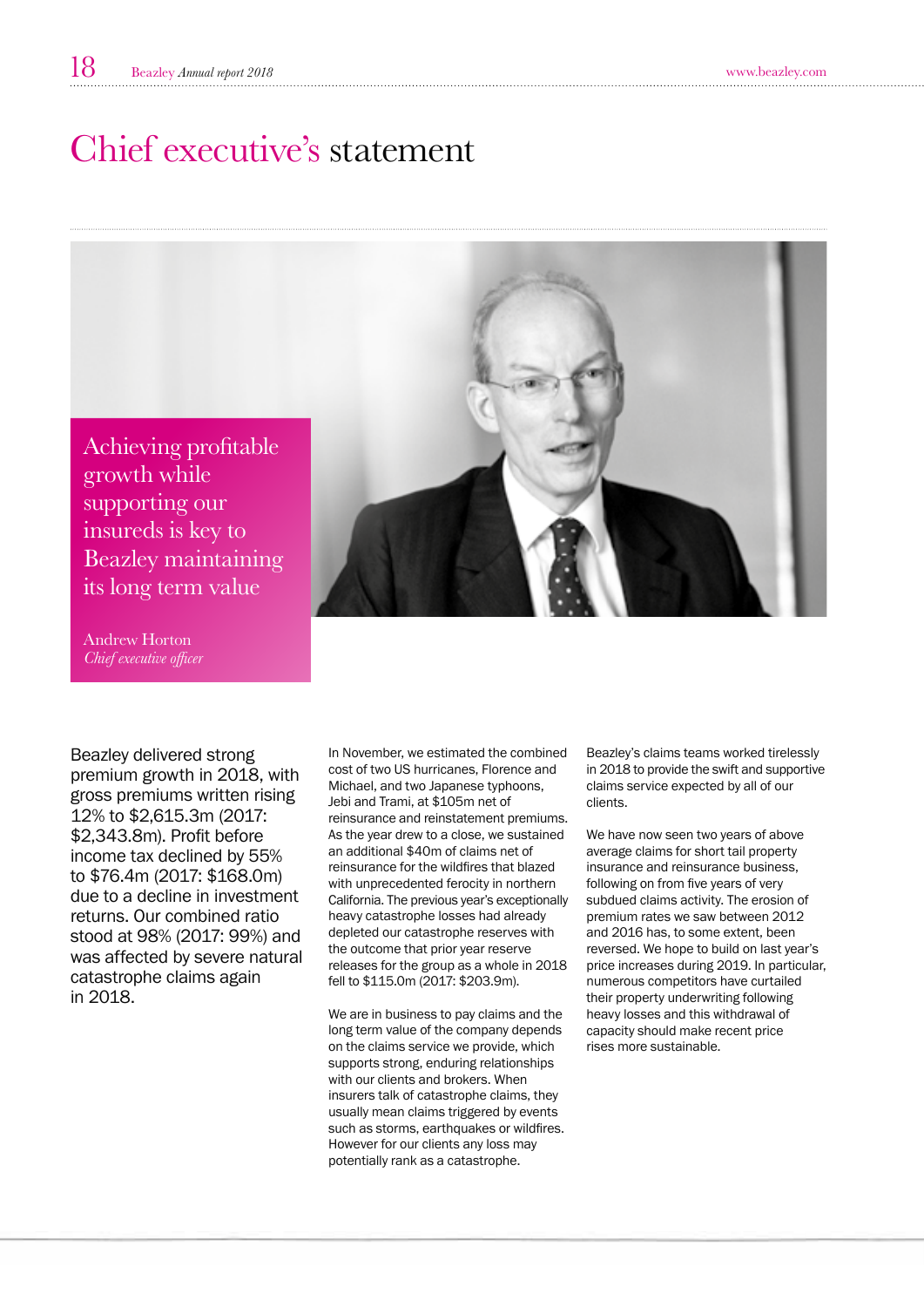# Chief executive's statement



Andrew Horton *Chief executive officer*

Beazley delivered strong premium growth in 2018, with gross premiums written rising 12% to \$2,615.3m (2017: \$2,343.8m). Profit before income tax declined by 55% to \$76.4m (2017: \$168.0m) due to a decline in investment returns. Our combined ratio stood at 98% (2017: 99%) and was affected by severe natural catastrophe claims again in 2018.

In November, we estimated the combined cost of two US hurricanes, Florence and Michael, and two Japanese typhoons, Jebi and Trami, at \$105m net of reinsurance and reinstatement premiums. As the year drew to a close, we sustained an additional \$40m of claims net of reinsurance for the wildfires that blazed with unprecedented ferocity in northern California. The previous year's exceptionally heavy catastrophe losses had already depleted our catastrophe reserves with the outcome that prior year reserve releases for the group as a whole in 2018 fell to \$115.0m (2017: \$203.9m).

We are in business to pay claims and the long term value of the company depends on the claims service we provide, which supports strong, enduring relationships with our clients and brokers. When insurers talk of catastrophe claims, they usually mean claims triggered by events such as storms, earthquakes or wildfires. However for our clients any loss may potentially rank as a catastrophe.

Beazley's claims teams worked tirelessly in 2018 to provide the swift and supportive claims service expected by all of our clients.

We have now seen two years of above average claims for short tail property insurance and reinsurance business, following on from five years of very subdued claims activity. The erosion of premium rates we saw between 2012 and 2016 has, to some extent, been reversed. We hope to build on last year's price increases during 2019. In particular, numerous competitors have curtailed their property underwriting following heavy losses and this withdrawal of capacity should make recent price rises more sustainable.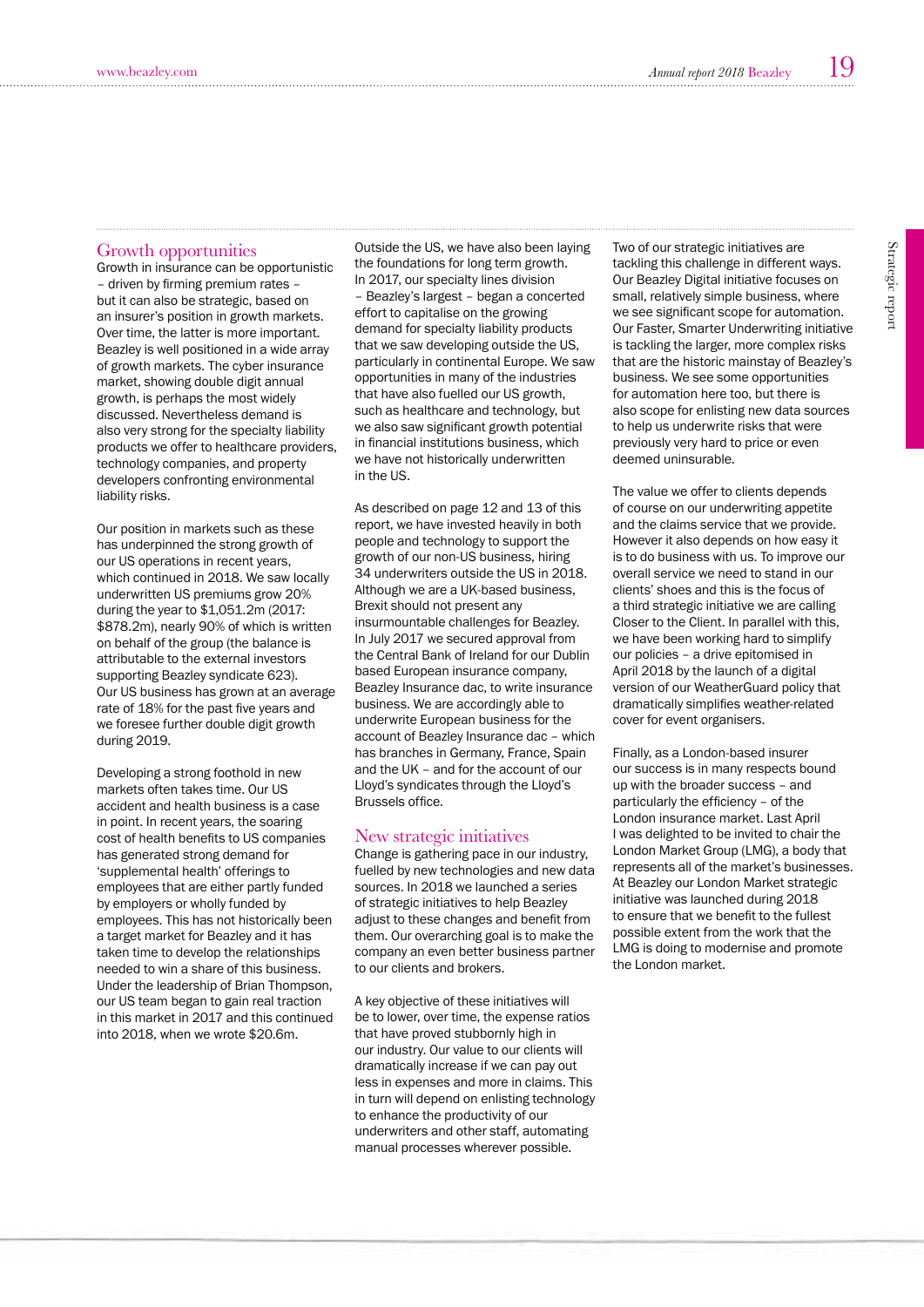## Growth opportunities

Growth in insurance can be opportunistic – driven by firming premium rates – but it can also be strategic, based on an insurer's position in growth markets. Over time, the latter is more important. Beazley is well positioned in a wide array of growth markets. The cyber insurance market, showing double digit annual growth, is perhaps the most widely discussed. Nevertheless demand is also very strong for the specialty liability products we offer to healthcare providers, technology companies, and property developers confronting environmental liability risks.

Our position in markets such as these has underpinned the strong growth of our US operations in recent years, which continued in 2018. We saw locally underwritten US premiums grow 20% during the year to \$1,051.2m (2017: \$878.2m), nearly 90% of which is written on behalf of the group (the balance is attributable to the external investors supporting Beazley syndicate 623). Our US business has grown at an average rate of 18% for the past five years and we foresee further double digit growth during 2019.

Developing a strong foothold in new markets often takes time. Our US accident and health business is a case in point. In recent years, the soaring cost of health benefits to US companies has generated strong demand for 'supplemental health' offerings to employees that are either partly funded by employers or wholly funded by employees. This has not historically been a target market for Beazley and it has taken time to develop the relationships needed to win a share of this business. Under the leadership of Brian Thompson, our US team began to gain real traction in this market in 2017 and this continued into 2018, when we wrote \$20.6m.

Outside the US, we have also been laying the foundations for long term growth. In 2017, our specialty lines division – Beazley's largest – began a concerted effort to capitalise on the growing demand for specialty liability products that we saw developing outside the US, particularly in continental Europe. We saw opportunities in many of the industries that have also fuelled our US growth, such as healthcare and technology, but we also saw significant growth potential in financial institutions business, which we have not historically underwritten in the US.

As described on page 12 and 13 of this report, we have invested heavily in both people and technology to support the growth of our non-US business, hiring 34 underwriters outside the US in 2018. Although we are a UK-based business, Brexit should not present any insurmountable challenges for Beazley. In July 2017 we secured approval from the Central Bank of Ireland for our Dublin based European insurance company, Beazley Insurance dac, to write insurance business. We are accordingly able to underwrite European business for the account of Beazley Insurance dac – which has branches in Germany, France, Spain and the UK – and for the account of our Lloyd's syndicates through the Lloyd's Brussels office.

### New strategic initiatives

Change is gathering pace in our industry, fuelled by new technologies and new data sources. In 2018 we launched a series of strategic initiatives to help Beazley adjust to these changes and benefit from them. Our overarching goal is to make the company an even better business partner to our clients and brokers.

A key objective of these initiatives will be to lower, over time, the expense ratios that have proved stubbornly high in our industry. Our value to our clients will dramatically increase if we can pay out less in expenses and more in claims. This in turn will depend on enlisting technology to enhance the productivity of our underwriters and other staff, automating manual processes wherever possible.

Two of our strategic initiatives are tackling this challenge in different ways. Our Beazley Digital initiative focuses on small, relatively simple business, where we see significant scope for automation. Our Faster, Smarter Underwriting initiative is tackling the larger, more complex risks that are the historic mainstay of Beazley's business. We see some opportunities for automation here too, but there is also scope for enlisting new data sources to help us underwrite risks that were previously very hard to price or even deemed uninsurable.

The value we offer to clients depends of course on our underwriting appetite and the claims service that we provide. However it also depends on how easy it is to do business with us. To improve our overall service we need to stand in our clients' shoes and this is the focus of a third strategic initiative we are calling Closer to the Client. In parallel with this, we have been working hard to simplify our policies – a drive epitomised in April 2018 by the launch of a digital version of our WeatherGuard policy that dramatically simplifies weather-related cover for event organisers.

Finally, as a London-based insurer our success is in many respects bound up with the broader success – and particularly the efficiency – of the London insurance market. Last April I was delighted to be invited to chair the London Market Group (LMG), a body that represents all of the market's businesses. At Beazley our London Market strategic initiative was launched during 2018 to ensure that we benefit to the fullest possible extent from the work that the LMG is doing to modernise and promote the London market.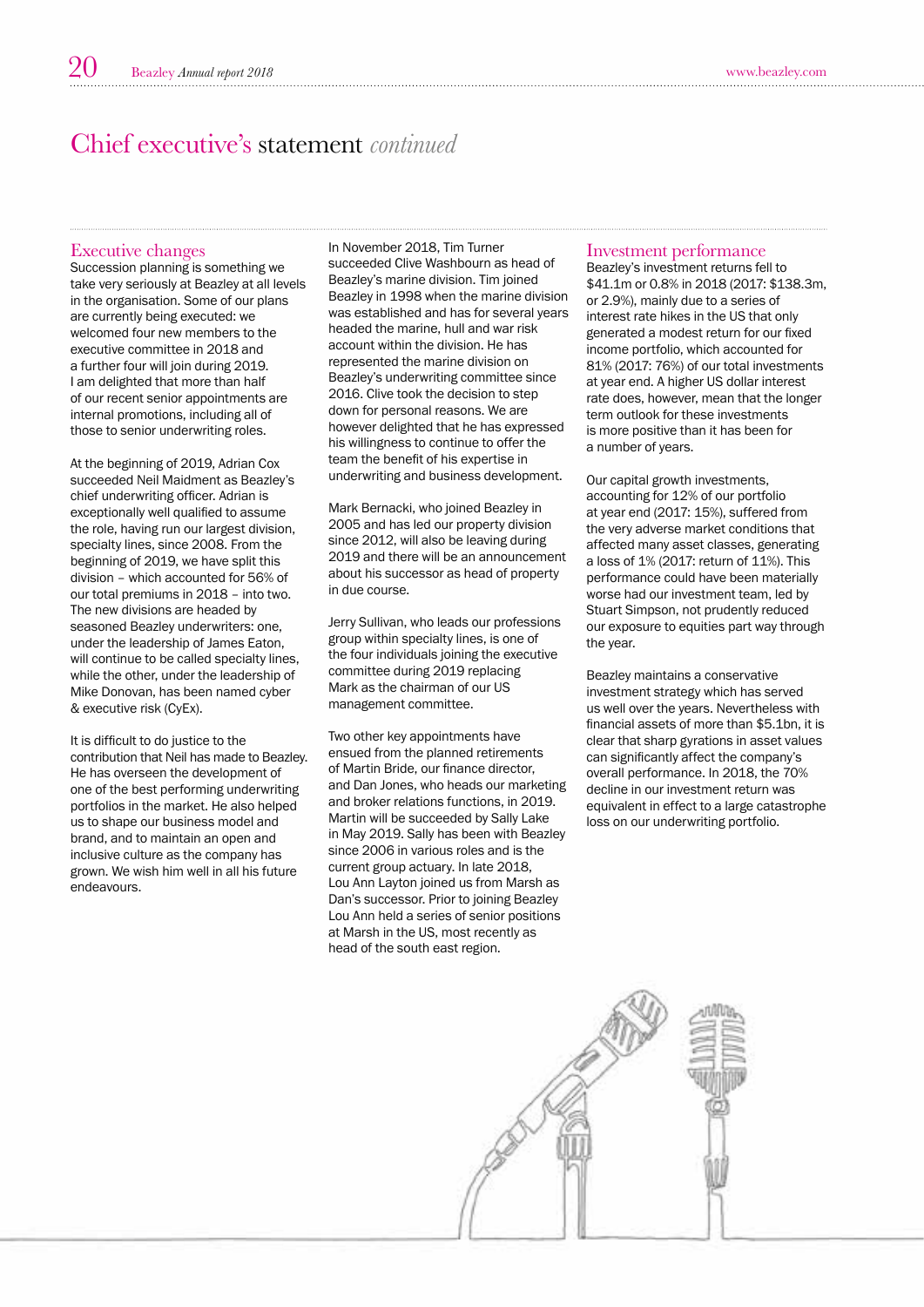# Chief executive's statement *continued*

#### Executive changes

Succession planning is something we take very seriously at Beazley at all levels in the organisation. Some of our plans are currently being executed: we welcomed four new members to the executive committee in 2018 and a further four will join during 2019. I am delighted that more than half of our recent senior appointments are internal promotions, including all of those to senior underwriting roles.

At the beginning of 2019, Adrian Cox succeeded Neil Maidment as Beazley's chief underwriting officer. Adrian is exceptionally well qualified to assume the role, having run our largest division, specialty lines, since 2008. From the beginning of 2019, we have split this division – which accounted for 56% of our total premiums in 2018 – into two. The new divisions are headed by seasoned Beazley underwriters: one, under the leadership of James Eaton, will continue to be called specialty lines while the other, under the leadership of Mike Donovan, has been named cyber & executive risk (CyEx).

It is difficult to do justice to the contribution that Neil has made to Beazley. He has overseen the development of one of the best performing underwriting portfolios in the market. He also helped us to shape our business model and brand, and to maintain an open and inclusive culture as the company has grown. We wish him well in all his future endeavours.

In November 2018, Tim Turner succeeded Clive Washbourn as head of Beazley's marine division. Tim joined Beazley in 1998 when the marine division was established and has for several years headed the marine, hull and war risk account within the division. He has represented the marine division on Beazley's underwriting committee since 2016. Clive took the decision to step down for personal reasons. We are however delighted that he has expressed his willingness to continue to offer the team the benefit of his expertise in underwriting and business development.

Mark Bernacki, who joined Beazley in 2005 and has led our property division since 2012, will also be leaving during 2019 and there will be an announcement about his successor as head of property in due course.

Jerry Sullivan, who leads our professions group within specialty lines, is one of the four individuals joining the executive committee during 2019 replacing Mark as the chairman of our US management committee.

Two other key appointments have ensued from the planned retirements of Martin Bride, our finance director, and Dan Jones, who heads our marketing and broker relations functions, in 2019. Martin will be succeeded by Sally Lake in May 2019. Sally has been with Beazley since 2006 in various roles and is the current group actuary. In late 2018, Lou Ann Layton joined us from Marsh as Dan's successor. Prior to joining Beazley Lou Ann held a series of senior positions at Marsh in the US, most recently as head of the south east region.

#### Investment performance

Beazley's investment returns fell to \$41.1m or 0.8% in 2018 (2017: \$138.3m, or 2.9%), mainly due to a series of interest rate hikes in the US that only generated a modest return for our fixed income portfolio, which accounted for 81% (2017: 76%) of our total investments at year end. A higher US dollar interest rate does, however, mean that the longer term outlook for these investments is more positive than it has been for a number of years.

Our capital growth investments, accounting for 12% of our portfolio at year end (2017: 15%), suffered from the very adverse market conditions that affected many asset classes, generating a loss of 1% (2017: return of 11%). This performance could have been materially worse had our investment team, led by Stuart Simpson, not prudently reduced our exposure to equities part way through the year.

Beazley maintains a conservative investment strategy which has served us well over the years. Nevertheless with financial assets of more than \$5.1bn, it is clear that sharp gyrations in asset values can significantly affect the company's overall performance. In 2018, the 70% decline in our investment return was equivalent in effect to a large catastrophe loss on our underwriting portfolio.